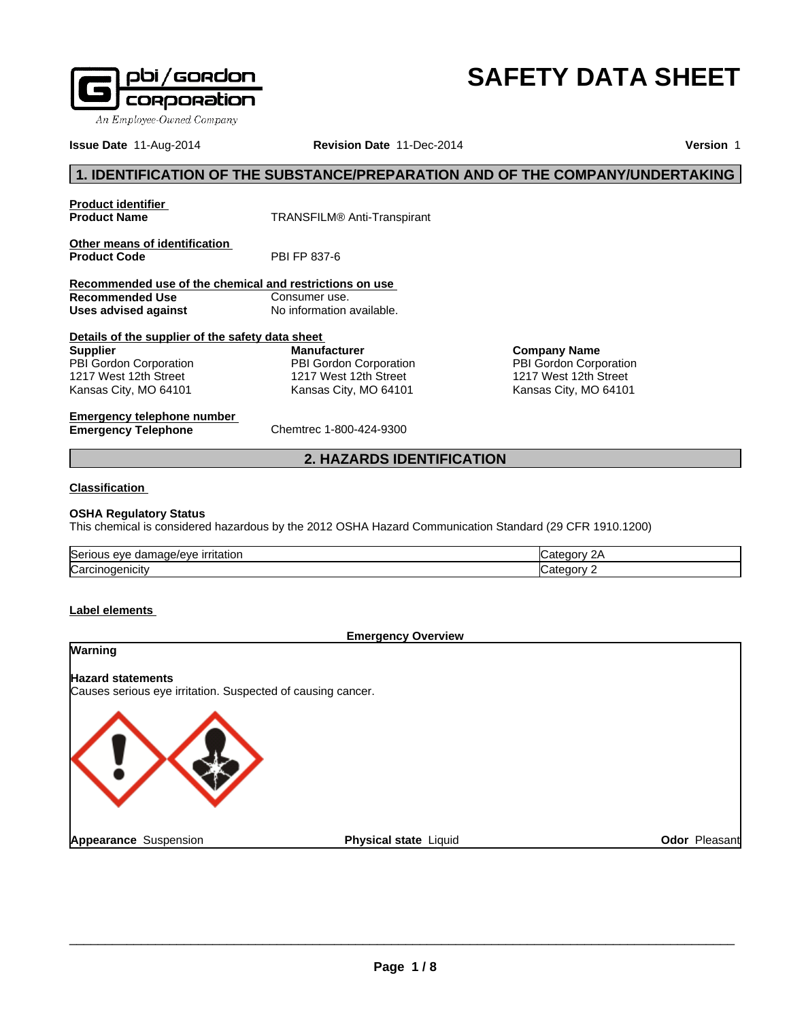

# **SAFETY DATA SHEET**

**Issue Date** 11-Aug-2014 **Revision Date** 11-Dec-2014 **Version** 1

# **1. IDENTIFICATION OF THE SUBSTANCE/PREPARATION AND OF THE COMPANY/UNDERTAKING**

**Product identifier** 

**Product Name** TRANSFILM® Anti-Transpirant

**Other means of identification**<br>**Product Code** PBI FP 837-6 **Product Code** 

**Recommended use of the chemical and restrictions on use Recommended Use** Consumer use.<br> **Uses advised against** No information available. **Uses advised against** 

**Details of the supplier of the safety data sheet Supplier** PBI Gordon Corporation 1217 West 12th Street Kansas City, MO 64101

**Manufacturer** PBI Gordon Corporation 1217 West 12th Street Kansas City, MO 64101

**Company Name** PBI Gordon Corporation 1217 West 12th Street Kansas City, MO 64101

**Emergency telephone number Emergency Telephone** Chemtrec 1-800-424-9300

**2. HAZARDS IDENTIFICATION**

### **Classification**

# **OSHA Regulatory Status**

This chemical is considered hazardous by the 2012 OSHA Hazard Communication Standard (29 CFR 1910.1200)

| 'Seri<br>١١٤<br><br>.<br>πaτιor<br>$\rightarrow \rightarrow \rightarrow$<br>. |  |
|-------------------------------------------------------------------------------|--|
| ∽<br>luai<br>пые                                                              |  |

**Label elements** 

# **Emergency Overview Warning Hazard statements** Causes serious eye irritation. Suspected of causing cancer. **Appearance** Suspension **Physical state Liquid Contract Contract Contract Contract Contract Contract Contract Contract Contract Contract Contract Contract Contract Contract Contract Contract Contract Contract Contract Contract Contract Contract C**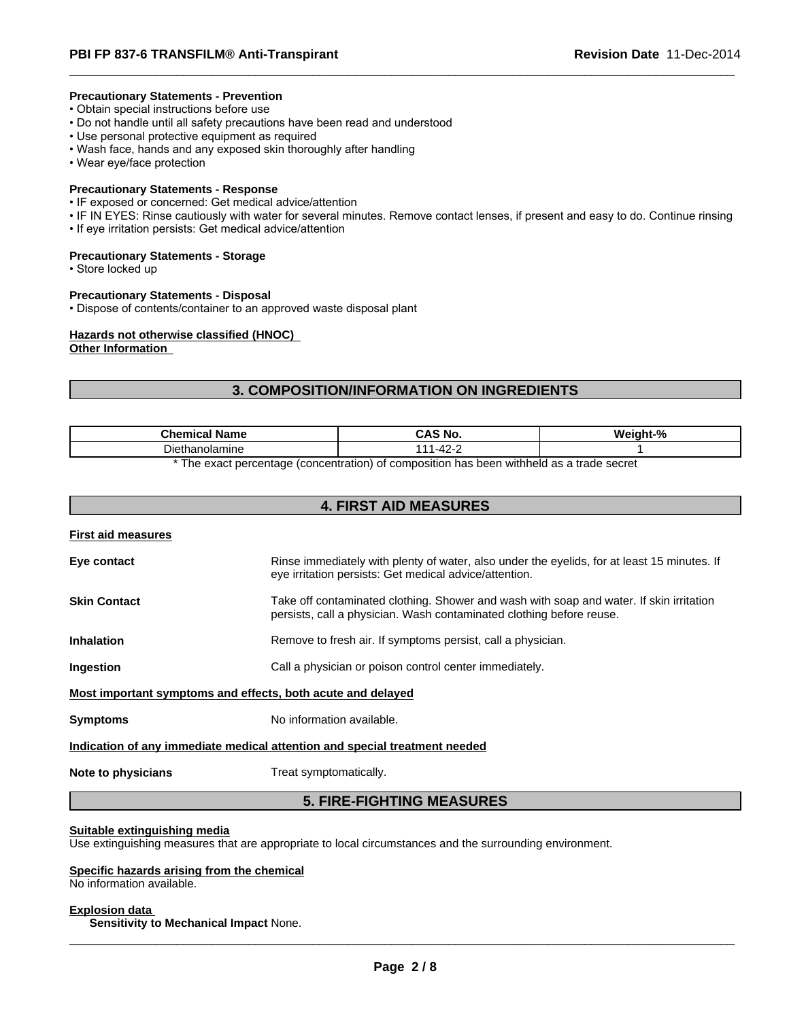#### **Precautionary Statements - Prevention**

- Obtain special instructions before use
- Do not handle until all safety precautions have been read and understood
- Use personal protective equipment as required
- Wash face, hands and any exposed skin thoroughly after handling
- Wear eye/face protection

#### **Precautionary Statements - Response**

- IF exposed or concerned: Get medical advice/attention
- IF IN EYES: Rinse cautiously with water for several minutes. Remove contact lenses, if present and easy to do. Continue rinsing
- If eye irritation persists: Get medical advice/attention

#### **Precautionary Statements - Storage**

• Store locked up

#### **Precautionary Statements - Disposal**

• Dispose of contents/container to an approved waste disposal plant

# **Hazards not otherwise classified (HNOC)**

**Other Information** 

# **3. COMPOSITION/INFORMATION ON INGREDIENTS**

| <b>Chemical</b><br>' Name | . .<br>.<br>ᇅᇅ<br>NU   | $\mathbf{a}$<br>. |
|---------------------------|------------------------|-------------------|
| nolamine<br>Лe<br>…nan∈   | -<br>л<br>$\mathbf{z}$ |                   |
| . .                       | $\cdots$               |                   |

\* The exact percentage (concentration) of composition has been withheld as a trade secret

| <b>4. FIRST AID MEASURES</b>                                |                                                                                                                                                                 |  |  |  |
|-------------------------------------------------------------|-----------------------------------------------------------------------------------------------------------------------------------------------------------------|--|--|--|
| <b>First aid measures</b>                                   |                                                                                                                                                                 |  |  |  |
| Eye contact                                                 | Rinse immediately with plenty of water, also under the eyelids, for at least 15 minutes. If<br>eye irritation persists: Get medical advice/attention.           |  |  |  |
| <b>Skin Contact</b>                                         | Take off contaminated clothing. Shower and wash with soap and water. If skin irritation<br>persists, call a physician. Wash contaminated clothing before reuse. |  |  |  |
| <b>Inhalation</b>                                           | Remove to fresh air. If symptoms persist, call a physician.                                                                                                     |  |  |  |
| <b>Ingestion</b>                                            | Call a physician or poison control center immediately.                                                                                                          |  |  |  |
| Most important symptoms and effects, both acute and delayed |                                                                                                                                                                 |  |  |  |
| <b>Symptoms</b>                                             | No information available.                                                                                                                                       |  |  |  |
|                                                             | Indication of any immediate medical attention and special treatment needed                                                                                      |  |  |  |
| Note to physicians                                          | Treat symptomatically.                                                                                                                                          |  |  |  |

# **5. FIRE-FIGHTING MEASURES**

#### **Suitable extinguishing media**

Use extinguishing measures that are appropriate to local circumstances and the surrounding environment.

#### **Specific hazards arising from the chemical**

No information available.

\_\_\_\_\_\_\_\_\_\_\_\_\_\_\_\_\_\_\_\_\_\_\_\_\_\_\_\_\_\_\_\_\_\_\_\_\_\_\_\_\_\_\_\_\_\_\_\_\_\_\_\_\_\_\_\_\_\_\_\_\_\_\_\_\_\_\_\_\_\_\_\_\_\_\_\_\_\_\_\_\_\_\_\_\_\_\_\_\_\_\_\_\_ **Explosion data Sensitivity to Mechanical Impact** None.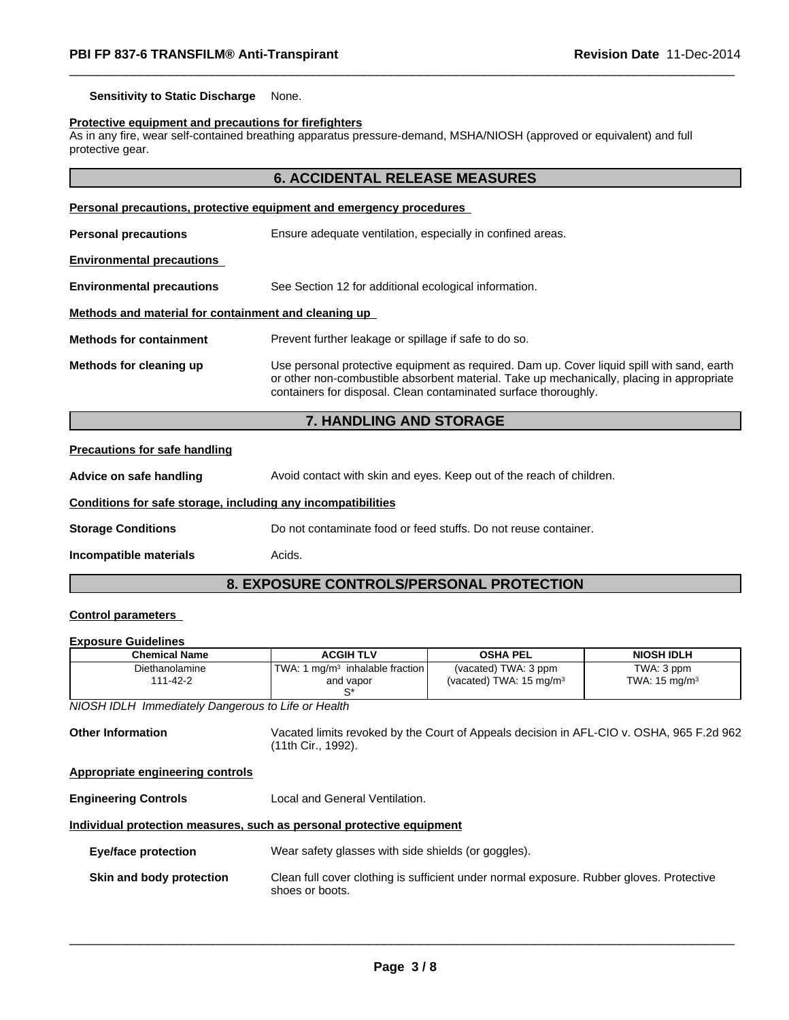**Sensitivity to Static Discharge** None.

#### **Protective equipment and precautions for firefighters**

As in any fire, wear self-contained breathing apparatus pressure-demand, MSHA/NIOSH (approved or equivalent) and full protective gear.

# **6. ACCIDENTAL RELEASE MEASURES**

| Personal precautions, protective equipment and emergency procedures |                                                                                                                                                                                                                                                            |  |  |
|---------------------------------------------------------------------|------------------------------------------------------------------------------------------------------------------------------------------------------------------------------------------------------------------------------------------------------------|--|--|
| <b>Personal precautions</b>                                         | Ensure adequate ventilation, especially in confined areas.                                                                                                                                                                                                 |  |  |
| <b>Environmental precautions</b>                                    |                                                                                                                                                                                                                                                            |  |  |
| <b>Environmental precautions</b>                                    | See Section 12 for additional ecological information.                                                                                                                                                                                                      |  |  |
| Methods and material for containment and cleaning up                |                                                                                                                                                                                                                                                            |  |  |
| <b>Methods for containment</b>                                      | Prevent further leakage or spillage if safe to do so.                                                                                                                                                                                                      |  |  |
| Methods for cleaning up                                             | Use personal protective equipment as required. Dam up. Cover liquid spill with sand, earth<br>or other non-combustible absorbent material. Take up mechanically, placing in appropriate<br>containers for disposal. Clean contaminated surface thoroughly. |  |  |

# **7. HANDLING AND STORAGE**

# **Precautions for safe handling**

Advice on safe handling **Avoid contact with skin and eyes. Keep out of the reach of children. Conditions for safe storage, including any incompatibilities**

**Storage Conditions** Do not contaminate food or feed stuffs. Do not reuse container.

**Incompatible materials Acids.** 

**8. EXPOSURE CONTROLS/PERSONAL PROTECTION**

#### **Control parameters**

#### **Exposure Guidelines**

| <b>Chemical Name</b>       | <b>ACGIH TLV</b>                                                       | OSHA PEL                                                   | <b>NIOSH IDLH</b>                      |
|----------------------------|------------------------------------------------------------------------|------------------------------------------------------------|----------------------------------------|
| Diethanolamine<br>111-42-2 | 1 mɑ/m $3\,$ inhalable fraction $\mathsf I$<br>TWA:<br>and vapor<br>⌒∗ | (vacated) TWA: 3 ppm<br>(vacated) TWA: $15 \text{ mg/m}^3$ | TWA: 3 ppm<br>TWA: $15 \text{ mg/m}^3$ |

*NIOSH IDLH Immediately Dangerous to Life or Health*

**Other Information** Vacated limits revoked by the Court of Appeals decision in AFL-CIO v. OSHA, 965 F.2d 962 (11th Cir., 1992).

#### **Appropriate engineering controls**

**Engineering Controls** Local and General Ventilation.

#### **Individual protection measures, such as personal protective equipment**

| Wear safety glasses with side shields (or goggles).<br><b>Eye/face protection</b> |                                                                                                             |  |  |
|-----------------------------------------------------------------------------------|-------------------------------------------------------------------------------------------------------------|--|--|
| Skin and body protection                                                          | Clean full cover clothing is sufficient under normal exposure. Rubber gloves. Protective<br>shoes or boots. |  |  |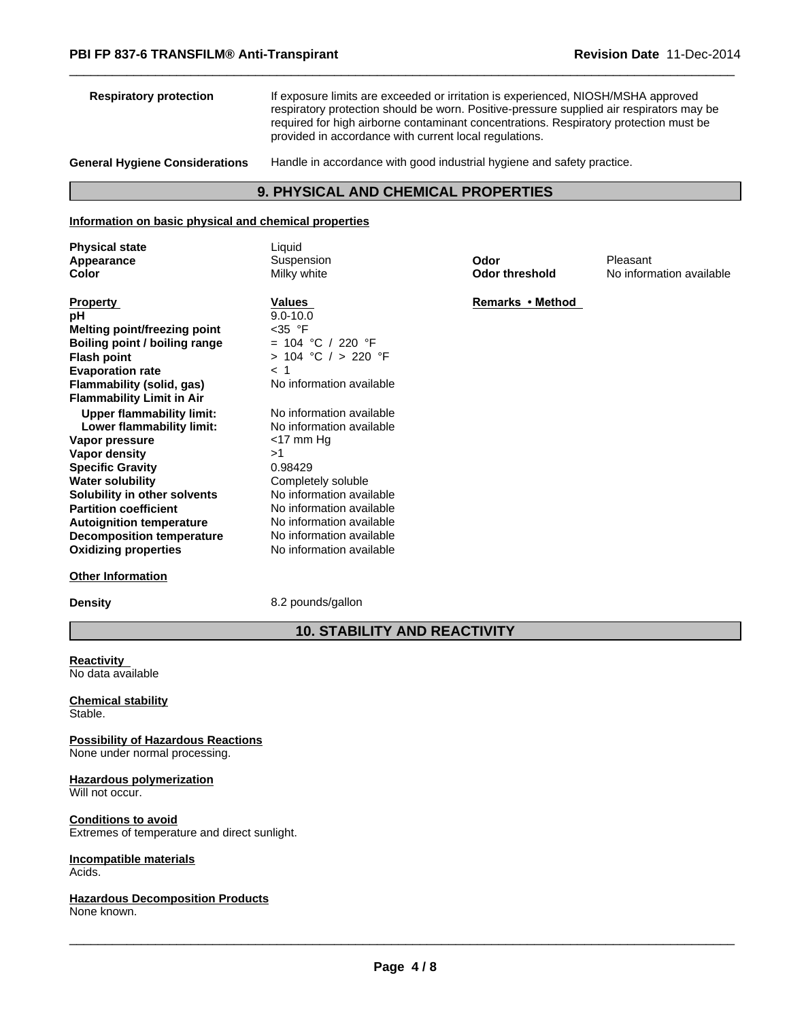| <b>Respiratory protection</b>                                                                                   | If exposure limits are exceeded or irritation is experienced, NIOSH/MSHA approved<br>respiratory protection should be worn. Positive-pressure supplied air respirators may be<br>required for high airborne contaminant concentrations. Respiratory protection must be<br>provided in accordance with current local regulations. |                                            |          |  |
|-----------------------------------------------------------------------------------------------------------------|----------------------------------------------------------------------------------------------------------------------------------------------------------------------------------------------------------------------------------------------------------------------------------------------------------------------------------|--------------------------------------------|----------|--|
| <b>General Hygiene Considerations</b><br>Handle in accordance with good industrial hygiene and safety practice. |                                                                                                                                                                                                                                                                                                                                  |                                            |          |  |
|                                                                                                                 |                                                                                                                                                                                                                                                                                                                                  | <b>9. PHYSICAL AND CHEMICAL PROPERTIES</b> |          |  |
| Information on basic physical and chemical properties                                                           |                                                                                                                                                                                                                                                                                                                                  |                                            |          |  |
| <b>Physical state</b>                                                                                           | Liquid                                                                                                                                                                                                                                                                                                                           |                                            |          |  |
| Annooronoo                                                                                                      | <b>Cuppopoion</b>                                                                                                                                                                                                                                                                                                                | <b>Oder</b>                                | Dloopont |  |

| Appearance                       | Suspension               | Odor                  | Pleasant                 |
|----------------------------------|--------------------------|-----------------------|--------------------------|
| Color                            | Milky white              | <b>Odor threshold</b> | No information available |
| <b>Property</b>                  | Values                   | Remarks • Method      |                          |
| рH                               | $9.0 - 10.0$             |                       |                          |
| Melting point/freezing point     | $<$ 35 °F                |                       |                          |
| Boiling point / boiling range    | = 104 °C / 220 °F        |                       |                          |
| <b>Flash point</b>               | $> 104$ °C $/ > 220$ °F  |                       |                          |
| <b>Evaporation rate</b>          | < 1                      |                       |                          |
| <b>Flammability (solid, gas)</b> | No information available |                       |                          |
| <b>Flammability Limit in Air</b> |                          |                       |                          |
| <b>Upper flammability limit:</b> | No information available |                       |                          |
| Lower flammability limit:        | No information available |                       |                          |
| Vapor pressure                   | $<$ 17 mm Hg             |                       |                          |
| Vapor density                    | >1                       |                       |                          |
| <b>Specific Gravity</b>          | 0.98429                  |                       |                          |
| <b>Water solubility</b>          | Completely soluble       |                       |                          |
| Solubility in other solvents     | No information available |                       |                          |
| <b>Partition coefficient</b>     | No information available |                       |                          |
| <b>Autoignition temperature</b>  | No information available |                       |                          |
| <b>Decomposition temperature</b> | No information available |                       |                          |
| <b>Oxidizing properties</b>      | No information available |                       |                          |

#### **Other Information**

**Density** 8.2 pounds/gallon

# **10. STABILITY AND REACTIVITY**

**Reactivity**  No data available

**Chemical stability** Stable.

**Possibility of Hazardous Reactions** None under normal processing.

**Hazardous polymerization** Will not occur.

**Conditions to avoid** Extremes of temperature and direct sunlight.

**Incompatible materials** Acids.

**Hazardous Decomposition Products** None known.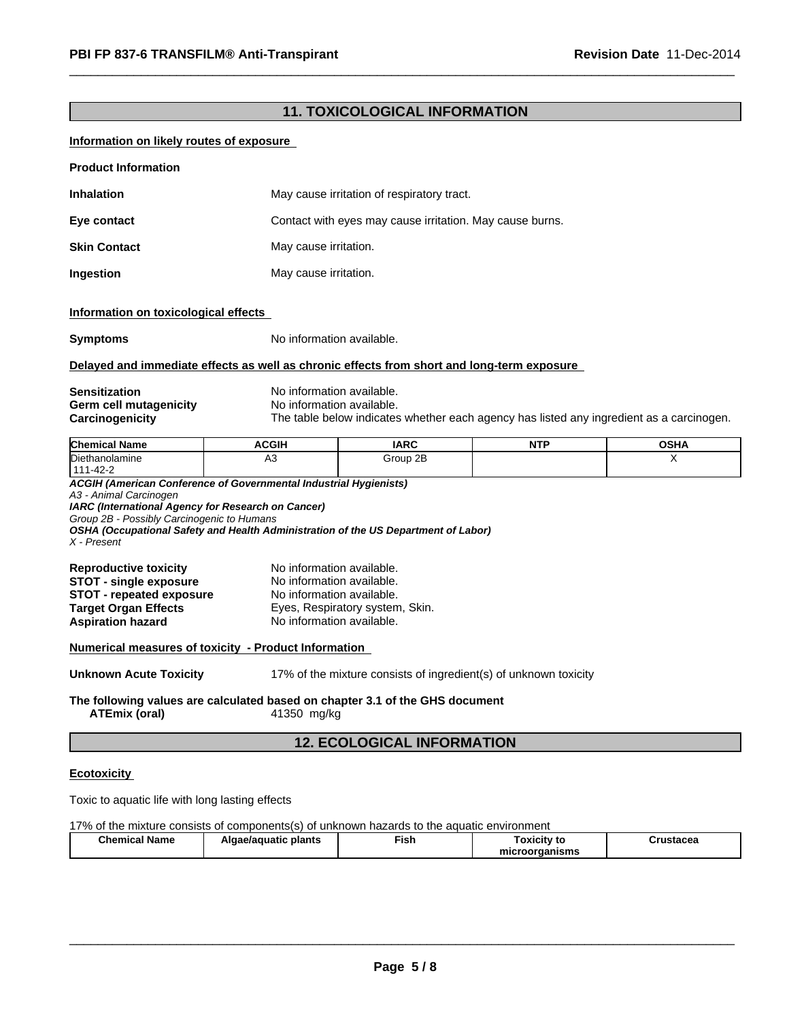# **11. TOXICOLOGICAL INFORMATION**

# **Information on likely routes of exposure**

| <b>Product Information</b> |                                                          |
|----------------------------|----------------------------------------------------------|
| <b>Inhalation</b>          | May cause irritation of respiratory tract.               |
| Eye contact                | Contact with eyes may cause irritation. May cause burns. |
| <b>Skin Contact</b>        | May cause irritation.                                    |
| Ingestion                  | May cause irritation.                                    |

#### **Information on toxicological effects**

**Symptoms** No information available.

#### **Delayed and immediate effects as well as chronic effects from short and long-term exposure**

| <b>Sensitization</b>   |
|------------------------|
| Germ cell mutagenicity |
| <b>Carcinogenicity</b> |

**No information available.** No information available. The table below indicates whether each agency has listed any ingredient as a carcinogen.

| <b>Chemical</b><br>cal Name  | <b>ACGIH</b> | <b>IARC</b> | .<br>. | $\sim$ un<br>ּאחט |
|------------------------------|--------------|-------------|--------|-------------------|
| Diethanolamine               | ಗ∪<br>$\sim$ | Group 2B    |        |                   |
| $\sqrt{2}$<br>444<br>ے-42- ⊏ |              |             |        |                   |

*ACGIH (American Conference of Governmental Industrial Hygienists) A3 - Animal Carcinogen IARC (International Agency for Research on Cancer) Group 2B - Possibly Carcinogenic to Humans OSHA (Occupational Safety and Health Administration of the US Department of Labor) X - Present* **Reproductive toxicity** No information available.

#### **Numerical measures of toxicity - Product Information**

**Unknown Acute Toxicity** 17% of the mixture consists of ingredient(s) of unknown toxicity

#### **The following values are calculated based on chapter 3.1 of the GHS document ATEmix (oral)** 41350 mg/kg

# **12. ECOLOGICAL INFORMATION**

#### **Ecotoxicity**

Toxic to aquatic life with long lasting effects

#### 17% of the mixture consists of components(s) of unknown hazards to the aquatic environment

| <b>Chemical Name</b> | Algae/aguatic plants | --<br>Fish | Γoxicitv to    | Crustacea |
|----------------------|----------------------|------------|----------------|-----------|
|                      |                      |            | microorganisms |           |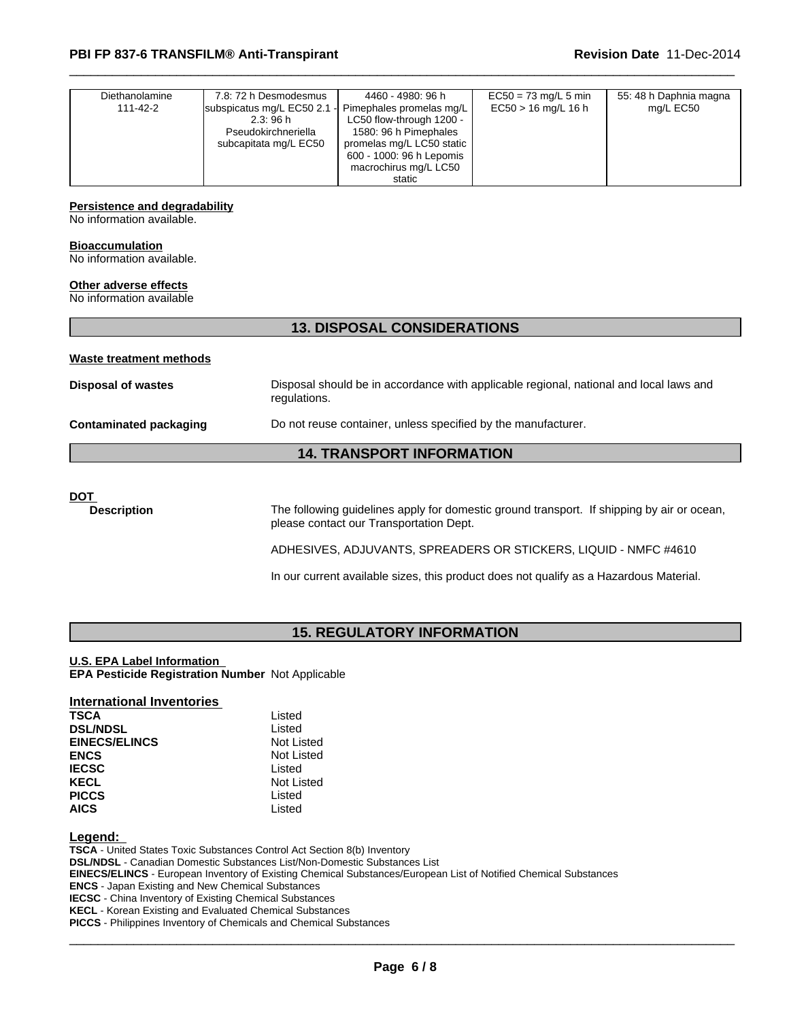| Diethanolamine<br>111-42-2 | 7.8: 72 h Desmodesmus<br>subspicatus mg/L EC50 2.1 -<br>2.3:96 h<br>Pseudokirchneriella<br>subcapitata mg/L EC50 | 4460 - 4980: 96 h<br>Pimephales promelas mg/L<br>LC50 flow-through 1200 -<br>1580: 96 h Pimephales<br>promelas mg/L LC50 static<br>600 - 1000: 96 h Lepomis<br>macrochirus mg/L LC50<br>static | $EC50 = 73$ mg/L 5 min<br>$EC50 > 16$ mg/L 16 h | 55: 48 h Daphnia magna<br>mg/L EC50 |  |
|----------------------------|------------------------------------------------------------------------------------------------------------------|------------------------------------------------------------------------------------------------------------------------------------------------------------------------------------------------|-------------------------------------------------|-------------------------------------|--|
|----------------------------|------------------------------------------------------------------------------------------------------------------|------------------------------------------------------------------------------------------------------------------------------------------------------------------------------------------------|-------------------------------------------------|-------------------------------------|--|

#### **Persistence and degradability**

No information available.

#### **Bioaccumulation**

No information available.

#### **Other adverse effects**

No information available

# **13. DISPOSAL CONSIDERATIONS**

#### **Waste treatment methods**

| Disposal of wastes     | Disposal should be in accordance with applicable regional, national and local laws and<br>regulations. |
|------------------------|--------------------------------------------------------------------------------------------------------|
| Contaminated packaging | Do not reuse container, unless specified by the manufacturer.                                          |

# **14. TRANSPORT INFORMATION**

#### **DOT**

**Description** The following guidelines apply for domestic ground transport. If shipping by air or ocean, please contact our Transportation Dept.

ADHESIVES, ADJUVANTS, SPREADERS OR STICKERS, LIQUID - NMFC #4610

In our current available sizes, this product does not qualify as a Hazardous Material.

# **15. REGULATORY INFORMATION**

#### **U.S. EPA Label Information**

**EPA Pesticide Registration Number** Not Applicable

# **International Inventories**

| <b>TSCA</b>          | Listed     |
|----------------------|------------|
| <b>DSL/NDSL</b>      | Listed     |
| <b>EINECS/ELINCS</b> | Not Listed |
| <b>ENCS</b>          | Not Listed |
| <b>IECSC</b>         | Listed     |
| <b>KECL</b>          | Not Listed |
| <b>PICCS</b>         | Listed     |
| <b>AICS</b>          | Listed     |

**Legend:** 

**TSCA** - United States Toxic Substances Control Act Section 8(b) Inventory

**DSL/NDSL** - Canadian Domestic Substances List/Non-Domestic Substances List

**EINECS/ELINCS** - European Inventory of Existing Chemical Substances/European List of Notified Chemical Substances

**ENCS** - Japan Existing and New Chemical Substances

**IECSC** - China Inventory of Existing Chemical Substances

**KECL** - Korean Existing and Evaluated Chemical Substances

**PICCS** - Philippines Inventory of Chemicals and Chemical Substances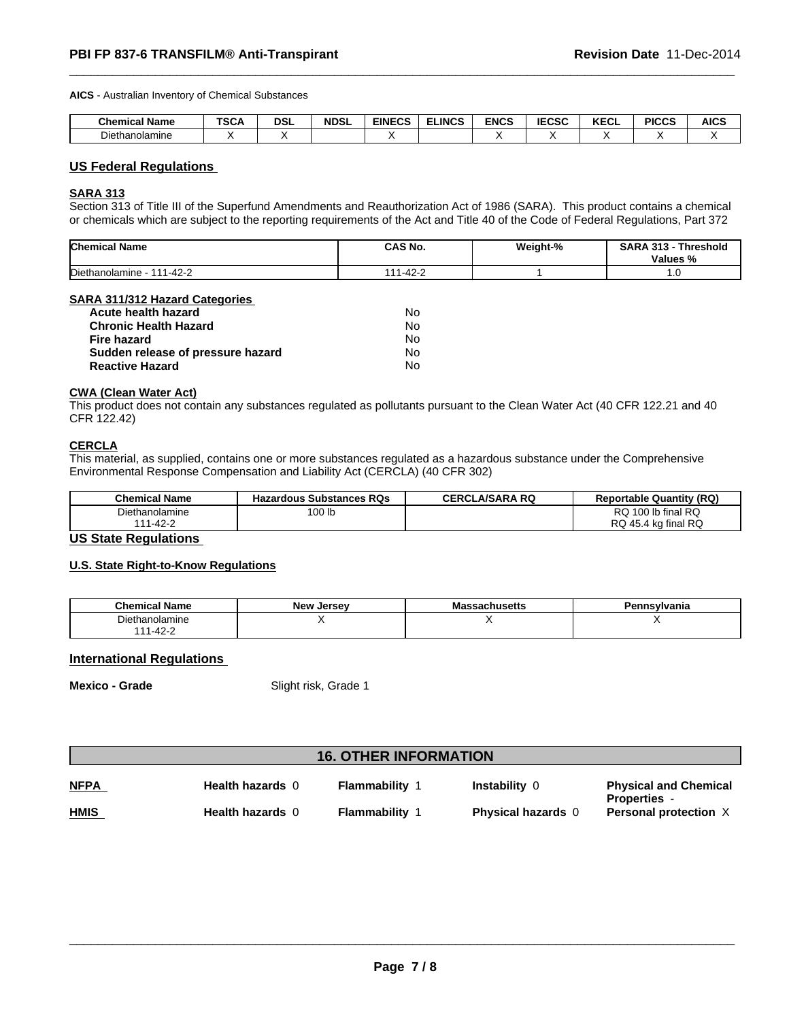**AICS** - Australian Inventory of Chemical Substances

| <b>Chemical Name</b>        | T00<br>้อนค | <b>DSL</b> | <b>NDSL</b> | <b>EINECS</b> | <b>ELINCS</b> | <b>ENCS</b> | <b>IECSC</b><br>-656 | <b>KECL</b> | <b>PICCS</b> | <b>AICS</b> |
|-----------------------------|-------------|------------|-------------|---------------|---------------|-------------|----------------------|-------------|--------------|-------------|
| $- \cdot$<br>Diethanolamine |             |            |             |               |               |             |                      |             |              |             |

# **US Federal Regulations**

#### **SARA 313**

Section 313 of Title III of the Superfund Amendments and Reauthorization Act of 1986 (SARA). This product contains a chemical or chemicals which are subject to the reporting requirements of the Act and Title 40 of the Code of Federal Regulations, Part 372

| <b>Chemical Name</b>                  | <b>CAS No.</b>          | Weight-% | SARA<br>242<br>Threshold<br>.<br>. .<br>Values<br>"∕o |
|---------------------------------------|-------------------------|----------|-------------------------------------------------------|
| Diethanolamine<br>$1 - 42 - 2$<br>111 | 10 <sub>2</sub><br>42–2 |          | $\cdot$ . $\cdot$                                     |

#### **SARA 311/312 Hazard Categories**

| Acute health hazard               | No |
|-----------------------------------|----|
| <b>Chronic Health Hazard</b>      | No |
| Fire hazard                       | No |
| Sudden release of pressure hazard | No |
| <b>Reactive Hazard</b>            | No |

# **CWA (Clean Water Act)**

This product does not contain any substances regulated as pollutants pursuant to the Clean Water Act (40 CFR 122.21 and 40 CFR 122.42)

#### **CERCLA**

This material, as supplied, contains one or more substances regulated as a hazardous substance under the Comprehensive Environmental Response Compensation and Liability Act (CERCLA) (40 CFR 302)

| <b>Chemical Name</b> | <b>Hazardous Substances RQs</b> | <b>CERCLA/SARA RQ</b> | <b>Reportable Quantity (RQ)</b> |
|----------------------|---------------------------------|-----------------------|---------------------------------|
| Diethanolamine       | 100 lb                          |                       | 100 lb final RQ<br><b>RQ</b>    |
| $1 - 42 - ?$<br>444  |                                 |                       | RQ 45.4 kg final RQ             |

# **US State Regulations**

### **U.S. State Right-to-Know Regulations**

| <b>Chemical Name</b> | <b>New</b><br>Jersev | aadunuscus l | `nsvlvania∶ |
|----------------------|----------------------|--------------|-------------|
| ोethanolamine        |                      |              |             |
| $1-42$               |                      |              |             |

**International Regulations** 

**Mexico - Grade** Slight risk, Grade 1

# **16. OTHER INFORMATION**

| <b>NFPA</b> | <b>Health hazards 0</b> | Flammability | Instability 0             | <b>Physical and Chemical</b><br><b>Properties -</b> |
|-------------|-------------------------|--------------|---------------------------|-----------------------------------------------------|
| <b>HMIS</b> | <b>Health hazards 0</b> | Flammability | <b>Physical hazards</b> 0 | <b>Personal protection X</b>                        |